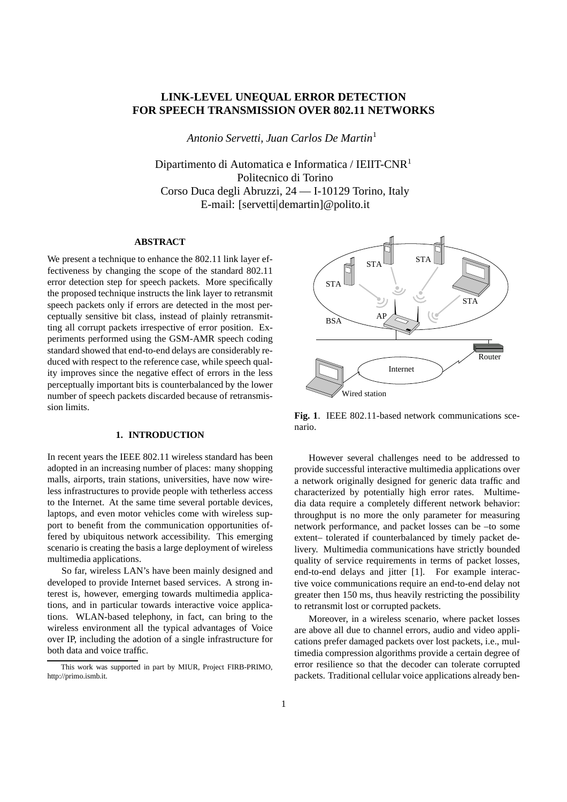# **LINK-LEVEL UNEQUAL ERROR DETECTION FOR SPEECH TRANSMISSION OVER 802.11 NETWORKS**

*Antonio Servetti, Juan Carlos De Martin*

Dipartimento di Automatica e Informatica / IEIIT-CNR Politecnico di Torino Corso Duca degli Abruzzi, 24 — I-10129 Torino, Italy E-mail: [servetti demartin]@polito.it

#### **ABSTRACT**

We present a technique to enhance the 802.11 link layer effectiveness by changing the scope of the standard 802.11 error detection step for speech packets. More specifically the proposed technique instructs the link layer to retransmit speech packets only if errors are detected in the most perceptually sensitive bit class, instead of plainly retransmitting all corrupt packets irrespective of error position. Experiments performed using the GSM-AMR speech coding standard showed that end-to-end delays are considerably reduced with respect to the reference case, while speech quality improves since the negative effect of errors in the less perceptually important bits is counterbalanced by the lower number of speech packets discarded because of retransmission limits.

### **1. INTRODUCTION**

In recent years the IEEE 802.11 wireless standard has been adopted in an increasing number of places: many shopping malls, airports, train stations, universities, have now wireless infrastructures to provide people with tetherless access to the Internet. At the same time several portable devices, laptops, and even motor vehicles come with wireless support to benefit from the communication opportunities offered by ubiquitous network accessibility. This emerging scenario is creating the basis a large deployment of wireless multimedia applications.

So far, wireless LAN's have been mainly designed and developed to provide Internet based services. A strong interest is, however, emerging towards multimedia applications, and in particular towards interactive voice applications. WLAN-based telephony, in fact, can bring to the wireless environment all the typical advantages of Voice over IP, including the adotion of a single infrastructure for both data and voice traffic.



**Fig. 1**. IEEE 802.11-based network communications scenario.

However several challenges need to be addressed to provide successful interactive multimedia applications over a network originally designed for generic data traffic and characterized by potentially high error rates. Multimedia data require a completely different network behavior: throughput is no more the only parameter for measuring network performance, and packet losses can be –to some extent– tolerated if counterbalanced by timely packet delivery. Multimedia communications have strictly bounded quality of service requirements in terms of packet losses, end-to-end delays and jitter [1]. For example interactive voice communications require an end-to-end delay not greater then 150 ms, thus heavily restricting the possibility to retransmit lost or corrupted packets.

Moreover, in a wireless scenario, where packet losses are above all due to channel errors, audio and video applications prefer damaged packets over lost packets, i.e., multimedia compression algorithms provide a certain degree of error resilience so that the decoder can tolerate corrupted packets. Traditional cellular voice applications already ben-

This work was supported in part by MIUR, Project FIRB-PRIMO, http://primo.ismb.it.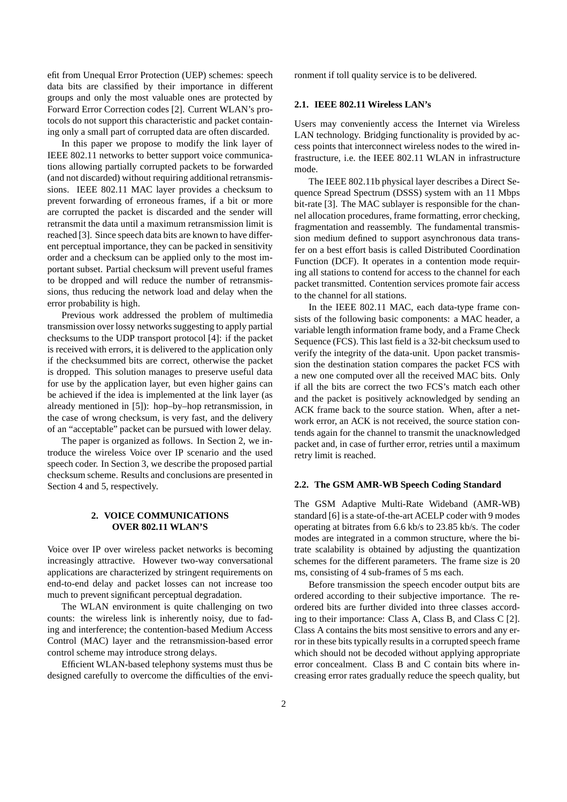efit from Unequal Error Protection (UEP) schemes: speech data bits are classified by their importance in different groups and only the most valuable ones are protected by Forward Error Correction codes [2]. Current WLAN's protocols do not support this characteristic and packet containing only a small part of corrupted data are often discarded.

In this paper we propose to modify the link layer of IEEE 802.11 networks to better support voice communications allowing partially corrupted packets to be forwarded (and not discarded) without requiring additional retransmissions. IEEE 802.11 MAC layer provides a checksum to prevent forwarding of erroneous frames, if a bit or more are corrupted the packet is discarded and the sender will retransmit the data until a maximum retransmission limit is reached [3]. Since speech data bits are known to have different perceptual importance, they can be packed in sensitivity order and a checksum can be applied only to the most important subset. Partial checksum will prevent useful frames to be dropped and will reduce the number of retransmissions, thus reducing the network load and delay when the error probability is high.

Previous work addressed the problem of multimedia transmission over lossy networks suggesting to apply partial checksums to the UDP transport protocol [4]: if the packet is received with errors, it is delivered to the application only if the checksummed bits are correct, otherwise the packet is dropped. This solution manages to preserve useful data for use by the application layer, but even higher gains can be achieved if the idea is implemented at the link layer (as already mentioned in [5]): hop–by–hop retransmission, in the case of wrong checksum, is very fast, and the delivery of an "acceptable" packet can be pursued with lower delay.

The paper is organized as follows. In Section 2, we introduce the wireless Voice over IP scenario and the used speech coder. In Section 3, we describe the proposed partial checksum scheme. Results and conclusions are presented in Section 4 and 5, respectively.

### **2. VOICE COMMUNICATIONS OVER 802.11 WLAN'S**

Voice over IP over wireless packet networks is becoming increasingly attractive. However two-way conversational applications are characterized by stringent requirements on end-to-end delay and packet losses can not increase too much to prevent significant perceptual degradation.

The WLAN environment is quite challenging on two counts: the wireless link is inherently noisy, due to fading and interference; the contention-based Medium Access Control (MAC) layer and the retransmission-based error control scheme may introduce strong delays.

Efficient WLAN-based telephony systems must thus be designed carefully to overcome the difficulties of the environment if toll quality service is to be delivered.

### **2.1. IEEE 802.11 Wireless LAN's**

Users may conveniently access the Internet via Wireless LAN technology. Bridging functionality is provided by access points that interconnect wireless nodes to the wired infrastructure, i.e. the IEEE 802.11 WLAN in infrastructure mode.

The IEEE 802.11b physical layer describes a Direct Sequence Spread Spectrum (DSSS) system with an 11 Mbps bit-rate [3]. The MAC sublayer is responsible for the channel allocation procedures, frame formatting, error checking, fragmentation and reassembly. The fundamental transmission medium defined to support asynchronous data transfer on a best effort basis is called Distributed Coordination Function (DCF). It operates in a contention mode requiring all stations to contend for access to the channel for each packet transmitted. Contention services promote fair access to the channel for all stations.

In the IEEE 802.11 MAC, each data-type frame consists of the following basic components: a MAC header, a variable length information frame body, and a Frame Check Sequence (FCS). This last field is a 32-bit checksum used to verify the integrity of the data-unit. Upon packet transmission the destination station compares the packet FCS with a new one computed over all the received MAC bits. Only if all the bits are correct the two FCS's match each other and the packet is positively acknowledged by sending an ACK frame back to the source station. When, after a network error, an ACK is not received, the source station contends again for the channel to transmit the unacknowledged packet and, in case of further error, retries until a maximum retry limit is reached.

### **2.2. The GSM AMR-WB Speech Coding Standard**

The GSM Adaptive Multi-Rate Wideband (AMR-WB) standard [6] is a state-of-the-art ACELP coder with 9 modes operating at bitrates from 6.6 kb/s to 23.85 kb/s. The coder modes are integrated in a common structure, where the bitrate scalability is obtained by adjusting the quantization schemes for the different parameters. The frame size is 20 ms, consisting of 4 sub-frames of 5 ms each.

Before transmission the speech encoder output bits are ordered according to their subjective importance. The reordered bits are further divided into three classes according to their importance: Class A, Class B, and Class C [2]. Class A contains the bits most sensitive to errors and any error in these bits typically results in a corrupted speech frame which should not be decoded without applying appropriate error concealment. Class B and C contain bits where increasing error rates gradually reduce the speech quality, but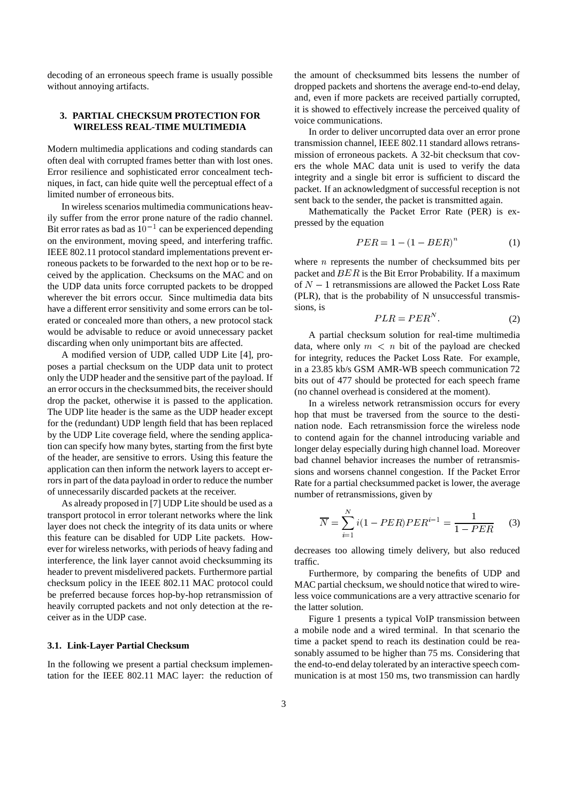decoding of an erroneous speech frame is usually possible without annoying artifacts.

### **3. PARTIAL CHECKSUM PROTECTION FOR WIRELESS REAL-TIME MULTIMEDIA**

Modern multimedia applications and coding standards can often deal with corrupted frames better than with lost ones. Error resilience and sophisticated error concealment techniques, in fact, can hide quite well the perceptual effect of a limited number of erroneous bits.

In wireless scenarios multimedia communications heavily suffer from the error prone nature of the radio channel. Bit error rates as bad as  $10^{-1}$  can be experienced depending on the environment, moving speed, and interfering traffic. IEEE 802.11 protocol standard implementations prevent erroneous packets to be forwarded to the next hop or to be received by the application. Checksums on the MAC and on the UDP data units force corrupted packets to be dropped wherever the bit errors occur. Since multimedia data bits have a different error sensitivity and some errors can be tolerated or concealed more than others, a new protocol stack would be advisable to reduce or avoid unnecessary packet discarding when only unimportant bits are affected.

A modified version of UDP, called UDP Lite [4], proposes a partial checksum on the UDP data unit to protect only the UDP header and the sensitive part of the payload. If an error occurs in the checksummed bits, the receiver should drop the packet, otherwise it is passed to the application. The UDP lite header is the same as the UDP header except for the (redundant) UDP length field that has been replaced by the UDP Lite coverage field, where the sending application can specify how many bytes, starting from the first byte of the header, are sensitive to errors. Using this feature the application can then inform the network layers to accept errors in part of the data payload in order to reduce the number of unnecessarily discarded packets at the receiver.

As already proposed in [7] UDP Lite should be used as a transport protocol in error tolerant networks where the link layer does not check the integrity of its data units or where this feature can be disabled for UDP Lite packets. However for wireless networks, with periods of heavy fading and interference, the link layer cannot avoid checksumming its header to prevent misdelivered packets. Furthermore partial checksum policy in the IEEE 802.11 MAC protocol could be preferred because forces hop-by-hop retransmission of heavily corrupted packets and not only detection at the receiver as in the UDP case.

### **3.1. Link-Layer Partial Checksum**

In the following we present a partial checksum implementation for the IEEE 802.11 MAC layer: the reduction of the amount of checksummed bits lessens the number of dropped packets and shortens the average end-to-end delay, and, even if more packets are received partially corrupted, it is showed to effectively increase the perceived quality of voice communications.

In order to deliver uncorrupted data over an error prone transmission channel, IEEE 802.11 standard allows retransmission of erroneous packets. A 32-bit checksum that covers the whole MAC data unit is used to verify the data integrity and a single bit error is sufficient to discard the packet. If an acknowledgment of successful reception is not sent back to the sender, the packet is transmitted again.

Mathematically the Packet Error Rate (PER) is expressed by the equation

$$
PER = 1 - (1 - BER)^{n}
$$
 (1)

where  $n$  represents the number of checksummed bits per packet and  $BER$  is the Bit Error Probability. If a maximum of  $N-1$  retransmissions are allowed the Packet Loss Rate (PLR), that is the probability of N unsuccessful transmissions, is

$$
PLR = PER^N. \tag{2}
$$

A partial checksum solution for real-time multimedia data, where only  $m < n$  bit of the payload are checked for integrity, reduces the Packet Loss Rate. For example, in a 23.85 kb/s GSM AMR-WB speech communication 72 bits out of 477 should be protected for each speech frame (no channel overhead is considered at the moment).

In a wireless network retransmission occurs for every hop that must be traversed from the source to the destination node. Each retransmission force the wireless node to contend again for the channel introducing variable and longer delay especially during high channel load. Moreover bad channel behavior increases the number of retransmissions and worsens channel congestion. If the Packet Error Rate for a partial checksummed packet is lower, the average number of retransmissions, given by

$$
\overline{N} = \sum_{i=1}^{N} i(1 - PER)PER^{i-1} = \frac{1}{1 - PER}
$$
 (3)

decreases too allowing timely delivery, but also reduced traffic.

Furthermore, by comparing the benefits of UDP and MAC partial checksum, we should notice that wired to wireless voice communications are a very attractive scenario for the latter solution.

Figure 1 presents a typical VoIP transmission between a mobile node and a wired terminal. In that scenario the time a packet spend to reach its destination could be reasonably assumed to be higher than 75 ms. Considering that the end-to-end delay tolerated by an interactive speech communication is at most 150 ms, two transmission can hardly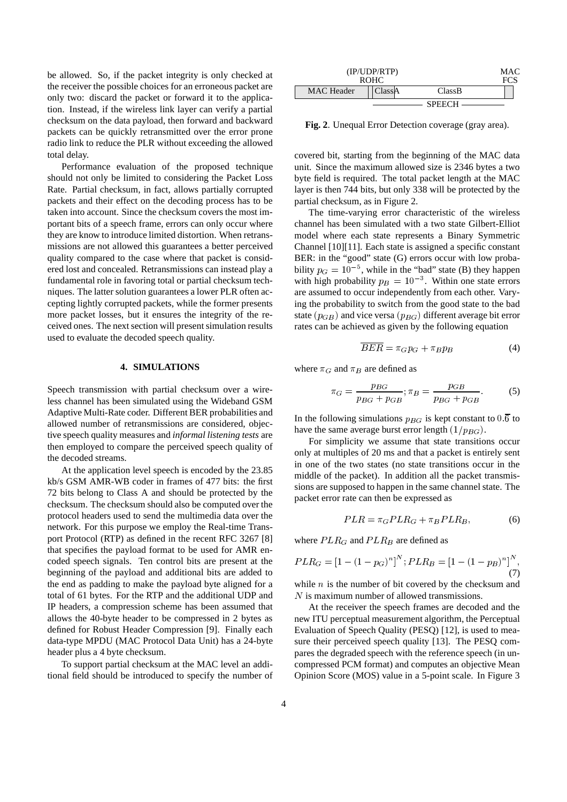be allowed. So, if the packet integrity is only checked at the receiver the possible choices for an erroneous packet are only two: discard the packet or forward it to the application. Instead, if the wireless link layer can verify a partial checksum on the data payload, then forward and backward packets can be quickly retransmitted over the error prone radio link to reduce the PLR without exceeding the allowed total delay.

Performance evaluation of the proposed technique should not only be limited to considering the Packet Loss Rate. Partial checksum, in fact, allows partially corrupted packets and their effect on the decoding process has to be taken into account. Since the checksum covers the most important bits of a speech frame, errors can only occur where they are know to introduce limited distortion. When retransmissions are not allowed this guarantees a better perceived quality compared to the case where that packet is considered lost and concealed. Retransmissions can instead play a fundamental role in favoring total or partial checksum techniques. The latter solution guarantees a lower PLR often accepting lightly corrupted packets, while the former presents more packet losses, but it ensures the integrity of the received ones. The next section will present simulation results used to evaluate the decoded speech quality.

#### **4. SIMULATIONS**

Speech transmission with partial checksum over a wireless channel has been simulated using the Wideband GSM Adaptive Multi-Rate coder. Different BER probabilities and allowed number of retransmissions are considered, objective speech quality measures and *informal listening tests* are then employed to compare the perceived speech quality of the decoded streams.

At the application level speech is encoded by the 23.85 kb/s GSM AMR-WB coder in frames of 477 bits: the first 72 bits belong to Class A and should be protected by the checksum. The checksum should also be computed over the protocol headers used to send the multimedia data over the network. For this purpose we employ the Real-time Transport Protocol (RTP) as defined in the recent RFC 3267 [8] that specifies the payload format to be used for AMR encoded speech signals. Ten control bits are present at the beginning of the payload and additional bits are added to the end as padding to make the payload byte aligned for a total of 61 bytes. For the RTP and the additional UDP and IP headers, a compression scheme has been assumed that allows the 40-byte header to be compressed in 2 bytes as defined for Robust Header Compression [9]. Finally each data-type MPDU (MAC Protocol Data Unit) has a 24-byte header plus a 4 byte checksum.

To support partial checksum at the MAC level an additional field should be introduced to specify the number of

| (IP/UDP/ RTP)<br><b>ROHC</b> |        |               | MAC. |
|------------------------------|--------|---------------|------|
| MAC Header                   | ClassA | ClassB        |      |
|                              |        | <b>SPEECH</b> |      |

**Fig. 2**. Unequal Error Detection coverage (gray area).

covered bit, starting from the beginning of the MAC data unit. Since the maximum allowed size is 2346 bytes a two byte field is required. The total packet length at the MAC layer is then 744 bits, but only 338 will be protected by the partial checksum, as in Figure 2.

The time-varying error characteristic of the wireless channel has been simulated with a two state Gilbert-Elliot model where each state represents a Binary Symmetric Channel [10][11]. Each state is assigned a specific constant BER: in the "good" state (G) errors occur with low probability  $p_G = 10^{-5}$ , while  $<sup>5</sup>$ , while in the "bad" state (B) they happen</sup> with high probability  $p_B = 10^{-3}$ . Withi <sup>3</sup>. Within one state errors are assumed to occur independently from each other. Varying the probability to switch from the good state to the bad state  $(p_{GB})$  and vice versa  $(p_{BG})$  different average bit error rates can be achieved as given by the following equation

$$
\overline{BER} = \pi_G p_G + \pi_B p_B \tag{4}
$$

where  $\pi_G$  and  $\pi_B$  are defined as

$$
\pi_G = \frac{p_{BG}}{p_{BG} + p_{GB}}; \pi_B = \frac{p_{GB}}{p_{BG} + p_{GB}}.
$$
 (5)

In the following simulations  $p_{BG}$  is kept constant to  $0.\overline{6}$  to have the same average burst error length  $(1/p_{BG})$ .

For simplicity we assume that state transitions occur only at multiples of 20 ms and that a packet is entirely sent in one of the two states (no state transitions occur in the middle of the packet). In addition all the packet transmissions are supposed to happen in the same channel state. The packet error rate can then be expressed as

$$
PLR = \pi_G PLR_G + \pi_B PLR_B, \tag{6}
$$

where  $PLR_G$  and  $PLR_B$  are defined as

$$
PLR_G = [1 - (1 - p_G)^n]^N; PLR_B = [1 - (1 - p_B)^n]^N,
$$
\n(7)

while  $n$  is the number of bit covered by the checksum and  $N$  is maximum number of allowed transmissions.

At the receiver the speech frames are decoded and the new ITU perceptual measurement algorithm, the Perceptual Evaluation of Speech Quality (PESQ) [12], is used to measure their perceived speech quality [13]. The PESQ compares the degraded speech with the reference speech (in uncompressed PCM format) and computes an objective Mean Opinion Score (MOS) value in a 5-point scale. In Figure 3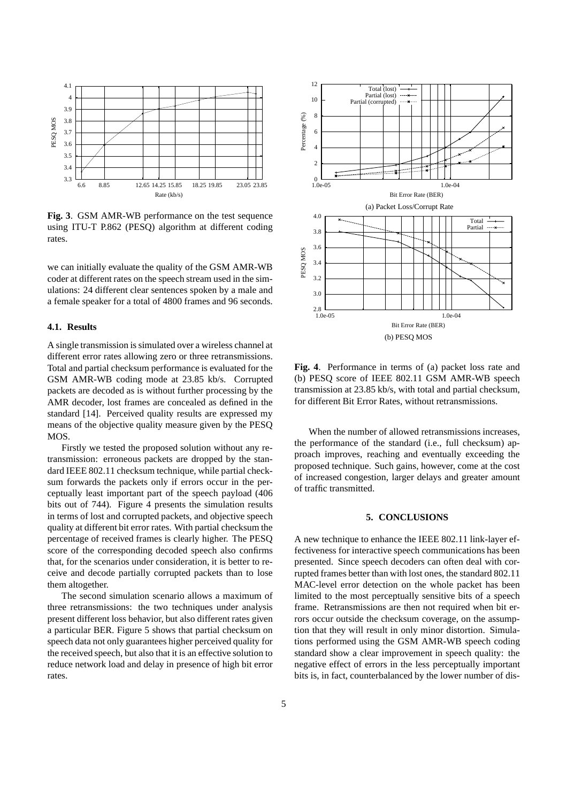

**Fig. 3**. GSM AMR-WB performance on the test sequence using ITU-T P.862 (PESQ) algorithm at different coding rates.

we can initially evaluate the quality of the GSM AMR-WB coder at different rates on the speech stream used in the simulations: 24 different clear sentences spoken by a male and a female speaker for a total of 4800 frames and 96 seconds.

### **4.1. Results**

A single transmission is simulated over a wireless channel at different error rates allowing zero or three retransmissions. Total and partial checksum performance is evaluated for the GSM AMR-WB coding mode at 23.85 kb/s. Corrupted packets are decoded as is without further processing by the AMR decoder, lost frames are concealed as defined in the standard [14]. Perceived quality results are expressed my means of the objective quality measure given by the PESQ MOS.

Firstly we tested the proposed solution without any retransmission: erroneous packets are dropped by the standard IEEE 802.11 checksum technique, while partial checksum forwards the packets only if errors occur in the perceptually least important part of the speech payload (406 bits out of 744). Figure 4 presents the simulation results in terms of lost and corrupted packets, and objective speech quality at different bit error rates. With partial checksum the percentage of received frames is clearly higher. The PESQ score of the corresponding decoded speech also confirms that, for the scenarios under consideration, it is better to receive and decode partially corrupted packets than to lose them altogether.

The second simulation scenario allows a maximum of three retransmissions: the two techniques under analysis present different loss behavior, but also different rates given a particular BER. Figure 5 shows that partial checksum on speech data not only guarantees higher perceived quality for the received speech, but also that it is an effective solution to reduce network load and delay in presence of high bit error rates.



**Fig. 4**. Performance in terms of (a) packet loss rate and (b) PESQ score of IEEE 802.11 GSM AMR-WB speech transmission at 23.85 kb/s, with total and partial checksum, for different Bit Error Rates, without retransmissions.

When the number of allowed retransmissions increases, the performance of the standard (i.e., full checksum) approach improves, reaching and eventually exceeding the proposed technique. Such gains, however, come at the cost of increased congestion, larger delays and greater amount of traffic transmitted.

## **5. CONCLUSIONS**

A new technique to enhance the IEEE 802.11 link-layer effectiveness for interactive speech communications has been presented. Since speech decoders can often deal with corrupted frames better than with lost ones, the standard 802.11 MAC-level error detection on the whole packet has been limited to the most perceptually sensitive bits of a speech frame. Retransmissions are then not required when bit errors occur outside the checksum coverage, on the assumption that they will result in only minor distortion. Simulations performed using the GSM AMR-WB speech coding standard show a clear improvement in speech quality: the negative effect of errors in the less perceptually important bits is, in fact, counterbalanced by the lower number of dis-